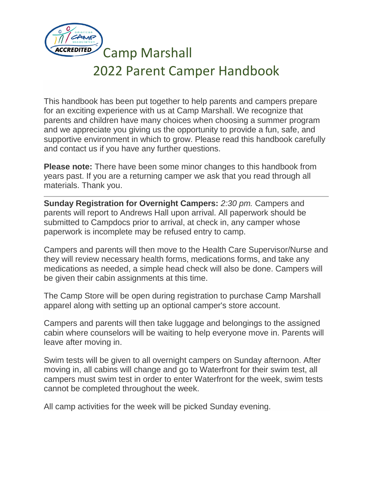

Camp Marshall

# 2022 Parent Camper Handbook

This handbook has been put together to help parents and campers prepare for an exciting experience with us at Camp Marshall. We recognize that parents and children have many choices when choosing a summer program and we appreciate you giving us the opportunity to provide a fun, safe, and supportive environment in which to grow. Please read this handbook carefully and contact us if you have any further questions.

**Please note:** There have been some minor changes to this handbook from years past. If you are a returning camper we ask that you read through all materials. Thank you.

**Sunday Registration for Overnight Campers:** *2:30 pm.* Campers and parents will report to Andrews Hall upon arrival. All paperwork should be submitted to Campdocs prior to arrival, at check in, any camper whose paperwork is incomplete may be refused entry to camp.

Campers and parents will then move to the Health Care Supervisor/Nurse and they will review necessary health forms, medications forms, and take any medications as needed, a simple head check will also be done. Campers will be given their cabin assignments at this time.

The Camp Store will be open during registration to purchase Camp Marshall apparel along with setting up an optional camper's store account.

Campers and parents will then take luggage and belongings to the assigned cabin where counselors will be waiting to help everyone move in. Parents will leave after moving in.

Swim tests will be given to all overnight campers on Sunday afternoon. After moving in, all cabins will change and go to Waterfront for their swim test, all campers must swim test in order to enter Waterfront for the week, swim tests cannot be completed throughout the week.

All camp activities for the week will be picked Sunday evening.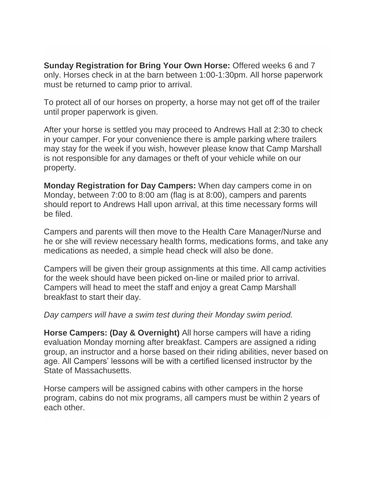**Sunday Registration for Bring Your Own Horse:** Offered weeks 6 and 7 only. Horses check in at the barn between 1:00-1:30pm. All horse paperwork must be returned to camp prior to arrival.

To protect all of our horses on property, a horse may not get off of the trailer until proper paperwork is given.

After your horse is settled you may proceed to Andrews Hall at 2:30 to check in your camper. For your convenience there is ample parking where trailers may stay for the week if you wish, however please know that Camp Marshall is not responsible for any damages or theft of your vehicle while on our property.

**Monday Registration for Day Campers:** When day campers come in on Monday, between 7:00 to 8:00 am (flag is at 8:00), campers and parents should report to Andrews Hall upon arrival, at this time necessary forms will be filed.

Campers and parents will then move to the Health Care Manager/Nurse and he or she will review necessary health forms, medications forms, and take any medications as needed, a simple head check will also be done.

Campers will be given their group assignments at this time. All camp activities for the week should have been picked on-line or mailed prior to arrival. Campers will head to meet the staff and enjoy a great Camp Marshall breakfast to start their day.

#### *Day campers will have a swim test during their Monday swim period.*

**Horse Campers: (Day & Overnight)** All horse campers will have a riding evaluation Monday morning after breakfast. Campers are assigned a riding group, an instructor and a horse based on their riding abilities, never based on age. All Campers' lessons will be with a certified licensed instructor by the State of Massachusetts.

Horse campers will be assigned cabins with other campers in the horse program, cabins do not mix programs, all campers must be within 2 years of each other.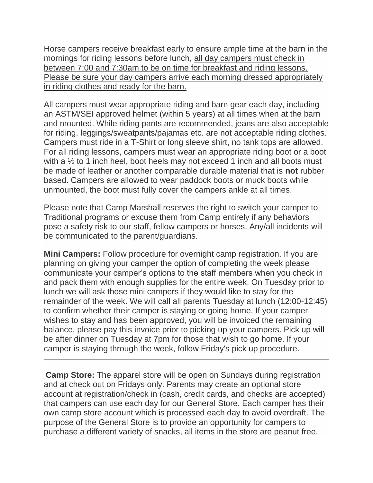Horse campers receive breakfast early to ensure ample time at the barn in the mornings for riding lessons before lunch, all day campers must check in between 7:00 and 7:30am to be on time for breakfast and riding lessons. Please be sure your day campers arrive each morning dressed appropriately in riding clothes and ready for the barn.

All campers must wear appropriate riding and barn gear each day, including an ASTM/SEI approved helmet (within 5 years) at all times when at the barn and mounted. While riding pants are recommended, jeans are also acceptable for riding, leggings/sweatpants/pajamas etc. are not acceptable riding clothes. Campers must ride in a T-Shirt or long sleeve shirt, no tank tops are allowed. For all riding lessons, campers must wear an appropriate riding boot or a boot with a  $\frac{1}{2}$  to 1 inch heel, boot heels may not exceed 1 inch and all boots must be made of leather or another comparable durable material that is **not** rubber based. Campers are allowed to wear paddock boots or muck boots while unmounted, the boot must fully cover the campers ankle at all times.

Please note that Camp Marshall reserves the right to switch your camper to Traditional programs or excuse them from Camp entirely if any behaviors pose a safety risk to our staff, fellow campers or horses. Any/all incidents will be communicated to the parent/guardians.

**Mini Campers:** Follow procedure for overnight camp registration. If you are planning on giving your camper the option of completing the week please communicate your camper's options to the staff members when you check in and pack them with enough supplies for the entire week. On Tuesday prior to lunch we will ask those mini campers if they would like to stay for the remainder of the week. We will call all parents Tuesday at lunch (12:00-12:45) to confirm whether their camper is staying or going home. If your camper wishes to stay and has been approved, you will be invoiced the remaining balance, please pay this invoice prior to picking up your campers. Pick up will be after dinner on Tuesday at 7pm for those that wish to go home. If your camper is staying through the week, follow Friday's pick up procedure.

**Camp Store:** The apparel store will be open on Sundays during registration and at check out on Fridays only. Parents may create an optional store account at registration/check in (cash, credit cards, and checks are accepted) that campers can use each day for our General Store. Each camper has their own camp store account which is processed each day to avoid overdraft. The purpose of the General Store is to provide an opportunity for campers to purchase a different variety of snacks, all items in the store are peanut free.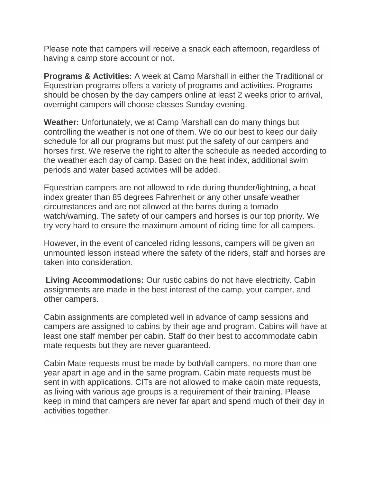Please note that campers will receive a snack each afternoon, regardless of having a camp store account or not.

**Programs & Activities:** A week at Camp Marshall in either the Traditional or Equestrian programs offers a variety of programs and activities. Programs should be chosen by the day campers online at least 2 weeks prior to arrival, overnight campers will choose classes Sunday evening.

**Weather:** Unfortunately, we at Camp Marshall can do many things but controlling the weather is not one of them. We do our best to keep our daily schedule for all our programs but must put the safety of our campers and horses first. We reserve the right to alter the schedule as needed according to the weather each day of camp. Based on the heat index, additional swim periods and water based activities will be added.

Equestrian campers are not allowed to ride during thunder/lightning, a heat index greater than 85 degrees Fahrenheit or any other unsafe weather circumstances and are not allowed at the barns during a tornado watch/warning. The safety of our campers and horses is our top priority. We try very hard to ensure the maximum amount of riding time for all campers.

However, in the event of canceled riding lessons, campers will be given an unmounted lesson instead where the safety of the riders, staff and horses are taken into consideration.

**Living Accommodations:** Our rustic cabins do not have electricity. Cabin assignments are made in the best interest of the camp, your camper, and other campers.

Cabin assignments are completed well in advance of camp sessions and campers are assigned to cabins by their age and program. Cabins will have at least one staff member per cabin. Staff do their best to accommodate cabin mate requests but they are never guaranteed.

Cabin Mate requests must be made by both/all campers, no more than one year apart in age and in the same program. Cabin mate requests must be sent in with applications. CITs are not allowed to make cabin mate requests, as living with various age groups is a requirement of their training. Please keep in mind that campers are never far apart and spend much of their day in activities together.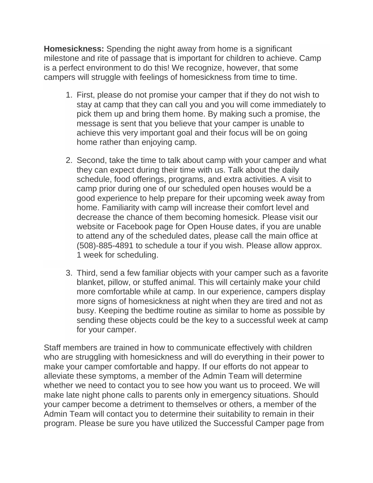**Homesickness:** Spending the night away from home is a significant milestone and rite of passage that is important for children to achieve. Camp is a perfect environment to do this! We recognize, however, that some campers will struggle with feelings of homesickness from time to time.

- 1. First, please do not promise your camper that if they do not wish to stay at camp that they can call you and you will come immediately to pick them up and bring them home. By making such a promise, the message is sent that you believe that your camper is unable to achieve this very important goal and their focus will be on going home rather than enjoying camp.
- 2. Second, take the time to talk about camp with your camper and what they can expect during their time with us. Talk about the daily schedule, food offerings, programs, and extra activities. A visit to camp prior during one of our scheduled open houses would be a good experience to help prepare for their upcoming week away from home. Familiarity with camp will increase their comfort level and decrease the chance of them becoming homesick. Please visit our website or Facebook page for Open House dates, if you are unable to attend any of the scheduled dates, please call the main office at (508)-885-4891 to schedule a tour if you wish. Please allow approx. 1 week for scheduling.
- 3. Third, send a few familiar objects with your camper such as a favorite blanket, pillow, or stuffed animal. This will certainly make your child more comfortable while at camp. In our experience, campers display more signs of homesickness at night when they are tired and not as busy. Keeping the bedtime routine as similar to home as possible by sending these objects could be the key to a successful week at camp for your camper.

Staff members are trained in how to communicate effectively with children who are struggling with homesickness and will do everything in their power to make your camper comfortable and happy. If our efforts do not appear to alleviate these symptoms, a member of the Admin Team will determine whether we need to contact you to see how you want us to proceed. We will make late night phone calls to parents only in emergency situations. Should your camper become a detriment to themselves or others, a member of the Admin Team will contact you to determine their suitability to remain in their program. Please be sure you have utilized the Successful Camper page from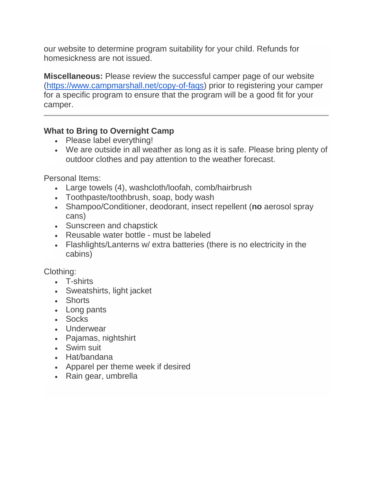our website to determine program suitability for your child. Refunds for homesickness are not issued.

**Miscellaneous:** Please review the successful camper page of our website [\(https://www.campmarshall.net/copy-of-faqs\)](https://www.campmarshall.net/copy-of-faqs) prior to registering your camper for a specific program to ensure that the program will be a good fit for your camper.

## **What to Bring to Overnight Camp**

- Please label everything!
- We are outside in all weather as long as it is safe. Please bring plenty of outdoor clothes and pay attention to the weather forecast.

Personal Items:

- Large towels (4), washcloth/loofah, comb/hairbrush
- Toothpaste/toothbrush, soap, body wash
- Shampoo/Conditioner, deodorant, insect repellent (**no** aerosol spray cans)
- Sunscreen and chapstick
- Reusable water bottle must be labeled
- Flashlights/Lanterns w/ extra batteries (there is no electricity in the cabins)

Clothing:

- T-shirts
- Sweatshirts, light jacket
- Shorts
- Long pants
- Socks
- Underwear
- Pajamas, nightshirt
- Swim suit
- Hat/bandana
- Apparel per theme week if desired
- Rain gear, umbrella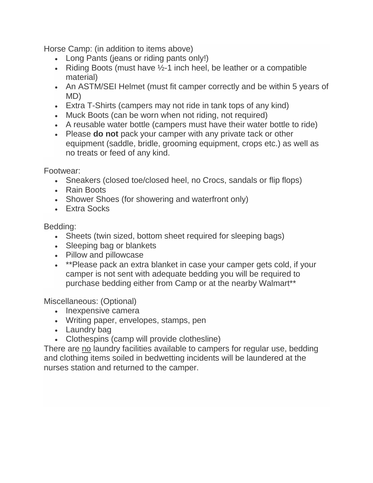Horse Camp: (in addition to items above)

- Long Pants (jeans or riding pants only!)
- Riding Boots (must have  $\frac{1}{2}$ -1 inch heel, be leather or a compatible material)
- An ASTM/SEI Helmet (must fit camper correctly and be within 5 years of MD)
- Extra T-Shirts (campers may not ride in tank tops of any kind)
- Muck Boots (can be worn when not riding, not required)
- A reusable water bottle (campers must have their water bottle to ride)
- Please **do not** pack your camper with any private tack or other equipment (saddle, bridle, grooming equipment, crops etc.) as well as no treats or feed of any kind.

Footwear:

- Sneakers (closed toe/closed heel, no Crocs, sandals or flip flops)
- Rain Boots
- Shower Shoes (for showering and waterfront only)
- Extra Socks

Bedding:

- Sheets (twin sized, bottom sheet required for sleeping bags)
- Sleeping bag or blankets
- Pillow and pillowcase
- \*\*Please pack an extra blanket in case your camper gets cold, if your camper is not sent with adequate bedding you will be required to purchase bedding either from Camp or at the nearby Walmart\*\*

Miscellaneous: (Optional)

- Inexpensive camera
- Writing paper, envelopes, stamps, pen
- Laundry bag
- Clothespins (camp will provide clothesline)

There are no laundry facilities available to campers for regular use, bedding and clothing items soiled in bedwetting incidents will be laundered at the nurses station and returned to the camper.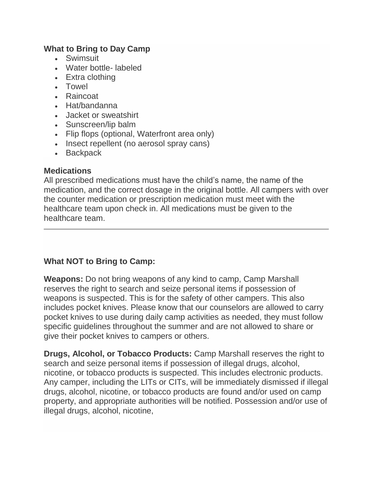#### **What to Bring to Day Camp**

- Swimsuit
- Water bottle- labeled
- Extra clothing
- Towel
- Raincoat
- Hat/bandanna
- Jacket or sweatshirt
- Sunscreen/lip balm
- Flip flops (optional, Waterfront area only)
- Insect repellent (no aerosol spray cans)
- Backpack

#### **Medications**

All prescribed medications must have the child's name, the name of the medication, and the correct dosage in the original bottle. All campers with over the counter medication or prescription medication must meet with the healthcare team upon check in. All medications must be given to the healthcare team.

## **What NOT to Bring to Camp:**

**Weapons:** Do not bring weapons of any kind to camp, Camp Marshall reserves the right to search and seize personal items if possession of weapons is suspected. This is for the safety of other campers. This also includes pocket knives. Please know that our counselors are allowed to carry pocket knives to use during daily camp activities as needed, they must follow specific guidelines throughout the summer and are not allowed to share or give their pocket knives to campers or others.

**Drugs, Alcohol, or Tobacco Products:** Camp Marshall reserves the right to search and seize personal items if possession of illegal drugs, alcohol, nicotine, or tobacco products is suspected. This includes electronic products. Any camper, including the LITs or CITs, will be immediately dismissed if illegal drugs, alcohol, nicotine, or tobacco products are found and/or used on camp property, and appropriate authorities will be notified. Possession and/or use of illegal drugs, alcohol, nicotine,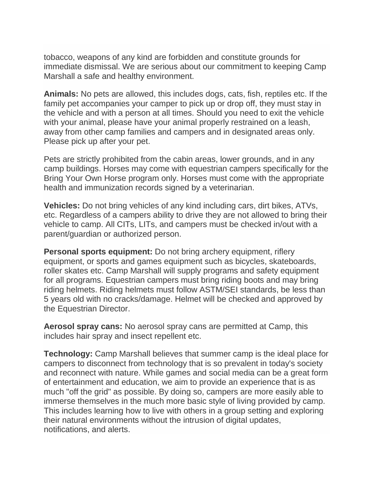tobacco, weapons of any kind are forbidden and constitute grounds for immediate dismissal. We are serious about our commitment to keeping Camp Marshall a safe and healthy environment.

**Animals:** No pets are allowed, this includes dogs, cats, fish, reptiles etc. If the family pet accompanies your camper to pick up or drop off, they must stay in the vehicle and with a person at all times. Should you need to exit the vehicle with your animal, please have your animal properly restrained on a leash, away from other camp families and campers and in designated areas only. Please pick up after your pet.

Pets are strictly prohibited from the cabin areas, lower grounds, and in any camp buildings. Horses may come with equestrian campers specifically for the Bring Your Own Horse program only. Horses must come with the appropriate health and immunization records signed by a veterinarian.

**Vehicles:** Do not bring vehicles of any kind including cars, dirt bikes, ATVs, etc. Regardless of a campers ability to drive they are not allowed to bring their vehicle to camp. All CITs, LITs, and campers must be checked in/out with a parent/guardian or authorized person.

**Personal sports equipment:** Do not bring archery equipment, riflery equipment, or sports and games equipment such as bicycles, skateboards, roller skates etc. Camp Marshall will supply programs and safety equipment for all programs. Equestrian campers must bring riding boots and may bring riding helmets. Riding helmets must follow ASTM/SEI standards, be less than 5 years old with no cracks/damage. Helmet will be checked and approved by the Equestrian Director.

**Aerosol spray cans:** No aerosol spray cans are permitted at Camp, this includes hair spray and insect repellent etc.

**Technology:** Camp Marshall believes that summer camp is the ideal place for campers to disconnect from technology that is so prevalent in today's society and reconnect with nature. While games and social media can be a great form of entertainment and education, we aim to provide an experience that is as much "off the grid" as possible. By doing so, campers are more easily able to immerse themselves in the much more basic style of living provided by camp. This includes learning how to live with others in a group setting and exploring their natural environments without the intrusion of digital updates, notifications, and alerts.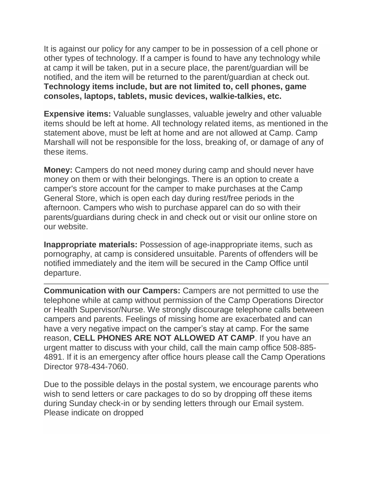It is against our policy for any camper to be in possession of a cell phone or other types of technology. If a camper is found to have any technology while at camp it will be taken, put in a secure place, the parent/guardian will be notified, and the item will be returned to the parent/guardian at check out. **Technology items include, but are not limited to, cell phones, game consoles, laptops, tablets, music devices, walkie-talkies, etc.**

**Expensive items:** Valuable sunglasses, valuable jewelry and other valuable items should be left at home. All technology related items, as mentioned in the statement above, must be left at home and are not allowed at Camp. Camp Marshall will not be responsible for the loss, breaking of, or damage of any of these items.

**Money:** Campers do not need money during camp and should never have money on them or with their belongings. There is an option to create a camper's store account for the camper to make purchases at the Camp General Store, which is open each day during rest/free periods in the afternoon. Campers who wish to purchase apparel can do so with their parents/guardians during check in and check out or visit our online store on our website.

**Inappropriate materials:** Possession of age-inappropriate items, such as pornography, at camp is considered unsuitable. Parents of offenders will be notified immediately and the item will be secured in the Camp Office until departure.

**Communication with our Campers:** Campers are not permitted to use the telephone while at camp without permission of the Camp Operations Director or Health Supervisor/Nurse. We strongly discourage telephone calls between campers and parents. Feelings of missing home are exacerbated and can have a very negative impact on the camper's stay at camp. For the same reason, **CELL PHONES ARE NOT ALLOWED AT CAMP**. If you have an urgent matter to discuss with your child, call the main camp office 508-885- 4891. If it is an emergency after office hours please call the Camp Operations Director 978-434-7060.

Due to the possible delays in the postal system, we encourage parents who wish to send letters or care packages to do so by dropping off these items during Sunday check-in or by sending letters through our Email system. Please indicate on dropped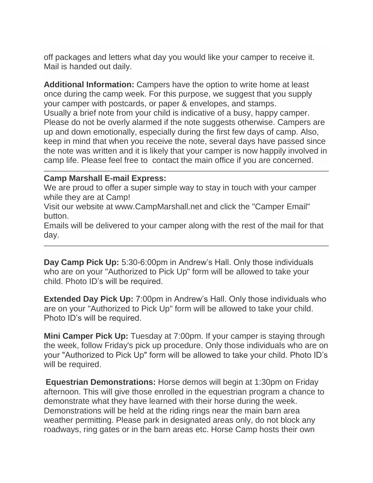off packages and letters what day you would like your camper to receive it. Mail is handed out daily.

**Additional Information:** Campers have the option to write home at least once during the camp week. For this purpose, we suggest that you supply your camper with postcards, or paper & envelopes, and stamps. Usually a brief note from your child is indicative of a busy, happy camper. Please do not be overly alarmed if the note suggests otherwise. Campers are up and down emotionally, especially during the first few days of camp. Also, keep in mind that when you receive the note, several days have passed since the note was written and it is likely that your camper is now happily involved in camp life. Please feel free to contact the main office if you are concerned.

#### **Camp Marshall E-mail Express:**

We are proud to offer a super simple way to stay in touch with your camper while they are at Camp!

Visit our website at www.CampMarshall.net and click the "Camper Email" button.

Emails will be delivered to your camper along with the rest of the mail for that day.

**Day Camp Pick Up:** 5:30-6:00pm in Andrew's Hall. Only those individuals who are on your "Authorized to Pick Up" form will be allowed to take your child. Photo ID's will be required.

**Extended Day Pick Up:** 7:00pm in Andrew's Hall. Only those individuals who are on your "Authorized to Pick Up" form will be allowed to take your child. Photo ID's will be required.

**Mini Camper Pick Up:** Tuesday at 7:00pm. If your camper is staying through the week, follow Friday's pick up procedure. Only those individuals who are on your "Authorized to Pick Up" form will be allowed to take your child. Photo ID's will be required.

**Equestrian Demonstrations:** Horse demos will begin at 1:30pm on Friday afternoon. This will give those enrolled in the equestrian program a chance to demonstrate what they have learned with their horse during the week. Demonstrations will be held at the riding rings near the main barn area weather permitting. Please park in designated areas only, do not block any roadways, ring gates or in the barn areas etc. Horse Camp hosts their own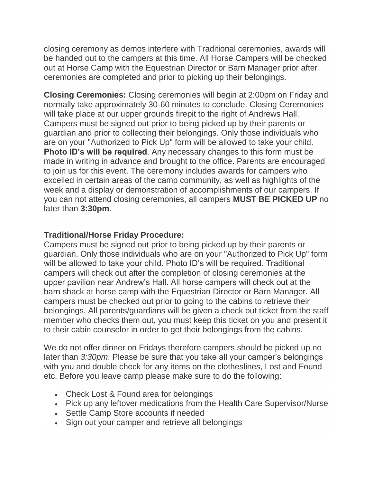closing ceremony as demos interfere with Traditional ceremonies, awards will be handed out to the campers at this time. All Horse Campers will be checked out at Horse Camp with the Equestrian Director or Barn Manager prior after ceremonies are completed and prior to picking up their belongings.

**Closing Ceremonies:** Closing ceremonies will begin at 2:00pm on Friday and normally take approximately 30-60 minutes to conclude. Closing Ceremonies will take place at our upper grounds firepit to the right of Andrews Hall. Campers must be signed out prior to being picked up by their parents or guardian and prior to collecting their belongings. Only those individuals who are on your "Authorized to Pick Up" form will be allowed to take your child. **Photo ID's will be required.** Any necessary changes to this form must be made in writing in advance and brought to the office. Parents are encouraged to join us for this event. The ceremony includes awards for campers who excelled in certain areas of the camp community, as well as highlights of the week and a display or demonstration of accomplishments of our campers. If you can not attend closing ceremonies, all campers **MUST BE PICKED UP** no later than **3:30pm**.

#### **Traditional/Horse Friday Procedure:**

Campers must be signed out prior to being picked up by their parents or guardian. Only those individuals who are on your "Authorized to Pick Up" form will be allowed to take your child. Photo ID's will be required. Traditional campers will check out after the completion of closing ceremonies at the upper pavilion near Andrew's Hall. All horse campers will check out at the barn shack at horse camp with the Equestrian Director or Barn Manager. All campers must be checked out prior to going to the cabins to retrieve their belongings. All parents/guardians will be given a check out ticket from the staff member who checks them out, you must keep this ticket on you and present it to their cabin counselor in order to get their belongings from the cabins.

We do not offer dinner on Fridays therefore campers should be picked up no later than *3:30pm*. Please be sure that you take all your camper's belongings with you and double check for any items on the clotheslines, Lost and Found etc. Before you leave camp please make sure to do the following:

- Check Lost & Found area for belongings
- Pick up any leftover medications from the Health Care Supervisor/Nurse
- Settle Camp Store accounts if needed
- Sign out your camper and retrieve all belongings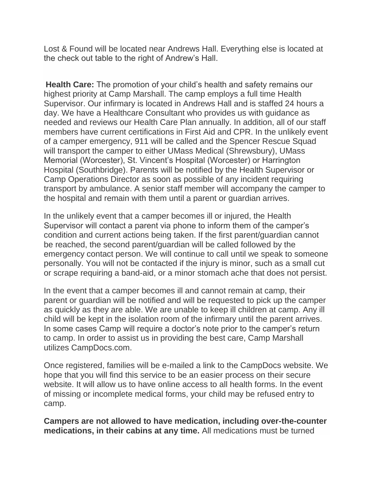Lost & Found will be located near Andrews Hall. Everything else is located at the check out table to the right of Andrew's Hall.

**Health Care:** The promotion of your child's health and safety remains our highest priority at Camp Marshall. The camp employs a full time Health Supervisor. Our infirmary is located in Andrews Hall and is staffed 24 hours a day. We have a Healthcare Consultant who provides us with guidance as needed and reviews our Health Care Plan annually. In addition, all of our staff members have current certifications in First Aid and CPR. In the unlikely event of a camper emergency, 911 will be called and the Spencer Rescue Squad will transport the camper to either UMass Medical (Shrewsbury), UMass Memorial (Worcester), St. Vincent's Hospital (Worcester) or Harrington Hospital (Southbridge). Parents will be notified by the Health Supervisor or Camp Operations Director as soon as possible of any incident requiring transport by ambulance. A senior staff member will accompany the camper to the hospital and remain with them until a parent or guardian arrives.

In the unlikely event that a camper becomes ill or injured, the Health Supervisor will contact a parent via phone to inform them of the camper's condition and current actions being taken. If the first parent/guardian cannot be reached, the second parent/guardian will be called followed by the emergency contact person. We will continue to call until we speak to someone personally. You will not be contacted if the injury is minor, such as a small cut or scrape requiring a band-aid, or a minor stomach ache that does not persist.

In the event that a camper becomes ill and cannot remain at camp, their parent or guardian will be notified and will be requested to pick up the camper as quickly as they are able. We are unable to keep ill children at camp. Any ill child will be kept in the isolation room of the infirmary until the parent arrives. In some cases Camp will require a doctor's note prior to the camper's return to camp. In order to assist us in providing the best care, Camp Marshall utilizes CampDocs.com.

Once registered, families will be e-mailed a link to the CampDocs website. We hope that you will find this service to be an easier process on their secure website. It will allow us to have online access to all health forms. In the event of missing or incomplete medical forms, your child may be refused entry to camp.

**Campers are not allowed to have medication, including over-the-counter medications, in their cabins at any time.** All medications must be turned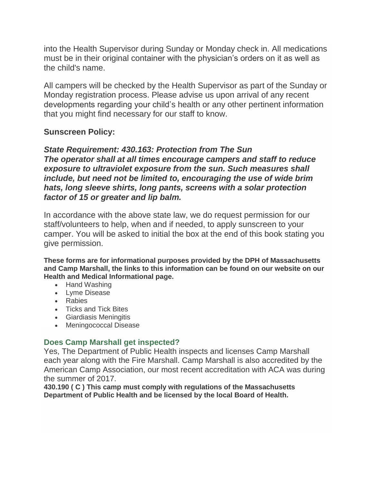into the Health Supervisor during Sunday or Monday check in. All medications must be in their original container with the physician's orders on it as well as the child's name.

All campers will be checked by the Health Supervisor as part of the Sunday or Monday registration process. Please advise us upon arrival of any recent developments regarding your child's health or any other pertinent information that you might find necessary for our staff to know.

#### **Sunscreen Policy:**

*State Requirement: 430.163: Protection from The Sun The operator shall at all times encourage campers and staff to reduce exposure to ultraviolet exposure from the sun. Such measures shall include, but need not be limited to, encouraging the use of wide brim hats, long sleeve shirts, long pants, screens with a solar protection factor of 15 or greater and lip balm.*

In accordance with the above state law, we do request permission for our staff/volunteers to help, when and if needed, to apply sunscreen to your camper. You will be asked to initial the box at the end of this book stating you give permission.

**These forms are for informational purposes provided by the DPH of Massachusetts and Camp Marshall, the links to this information can be found on our website on our Health and Medical Informational page.**

- Hand Washing
- Lyme Disease
- Rabies
- Ticks and Tick Bites
- Giardiasis Meningitis
- Meningococcal Disease

#### **Does Camp Marshall get inspected?**

Yes, The Department of Public Health inspects and licenses Camp Marshall each year along with the Fire Marshall. Camp Marshall is also accredited by the American Camp Association, our most recent accreditation with ACA was during the summer of 2017.

**430.190 ( C ) This camp must comply with regulations of the Massachusetts Department of Public Health and be licensed by the local Board of Health.**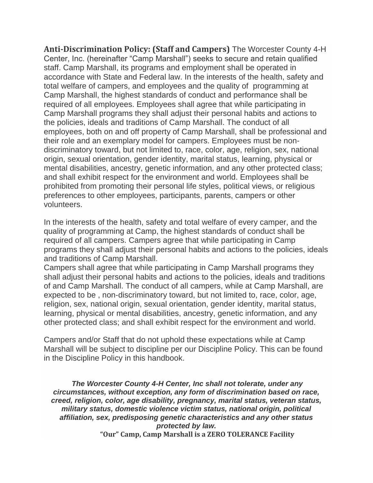**Anti-Discrimination Policy: (Staff and Campers)** The Worcester County 4-H Center, Inc. (hereinafter "Camp Marshall") seeks to secure and retain qualified staff. Camp Marshall, its programs and employment shall be operated in accordance with State and Federal law. In the interests of the health, safety and total welfare of campers, and employees and the quality of programming at Camp Marshall, the highest standards of conduct and performance shall be required of all employees. Employees shall agree that while participating in Camp Marshall programs they shall adjust their personal habits and actions to the policies, ideals and traditions of Camp Marshall. The conduct of all employees, both on and off property of Camp Marshall, shall be professional and their role and an exemplary model for campers. Employees must be nondiscriminatory toward, but not limited to, race, color, age, religion, sex, national origin, sexual orientation, gender identity, marital status, learning, physical or mental disabilities, ancestry, genetic information, and any other protected class; and shall exhibit respect for the environment and world. Employees shall be prohibited from promoting their personal life styles, political views, or religious preferences to other employees, participants, parents, campers or other volunteers.

In the interests of the health, safety and total welfare of every camper, and the quality of programming at Camp, the highest standards of conduct shall be required of all campers. Campers agree that while participating in Camp programs they shall adjust their personal habits and actions to the policies, ideals and traditions of Camp Marshall.

Campers shall agree that while participating in Camp Marshall programs they shall adjust their personal habits and actions to the policies, ideals and traditions of and Camp Marshall. The conduct of all campers, while at Camp Marshall, are expected to be , non-discriminatory toward, but not limited to, race, color, age, religion, sex, national origin, sexual orientation, gender identity, marital status, learning, physical or mental disabilities, ancestry, genetic information, and any other protected class; and shall exhibit respect for the environment and world.

Campers and/or Staff that do not uphold these expectations while at Camp Marshall will be subject to discipline per our Discipline Policy. This can be found in the Discipline Policy in this handbook.

*The Worcester County 4-H Center, Inc shall not tolerate, under any circumstances, without exception, any form of discrimination based on race, creed, religion, color, age disability, pregnancy, marital status, veteran status, military status, domestic violence victim status, national origin, political affiliation, sex, predisposing genetic characteristics and any other status protected by law.* **"Our" Camp, Camp Marshall is a ZERO TOLERANCE Facility**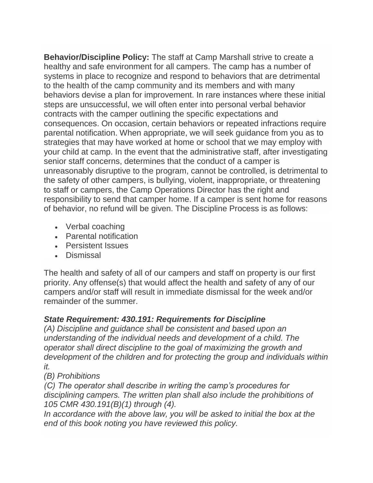**Behavior/Discipline Policy:** The staff at Camp Marshall strive to create a healthy and safe environment for all campers. The camp has a number of systems in place to recognize and respond to behaviors that are detrimental to the health of the camp community and its members and with many behaviors devise a plan for improvement. In rare instances where these initial steps are unsuccessful, we will often enter into personal verbal behavior contracts with the camper outlining the specific expectations and consequences. On occasion, certain behaviors or repeated infractions require parental notification. When appropriate, we will seek guidance from you as to strategies that may have worked at home or school that we may employ with your child at camp. In the event that the administrative staff, after investigating senior staff concerns, determines that the conduct of a camper is unreasonably disruptive to the program, cannot be controlled, is detrimental to the safety of other campers, is bullying, violent, inappropriate, or threatening to staff or campers, the Camp Operations Director has the right and responsibility to send that camper home. If a camper is sent home for reasons of behavior, no refund will be given. The Discipline Process is as follows:

- Verbal coaching
- Parental notification
- Persistent Issues
- Dismissal

The health and safety of all of our campers and staff on property is our first priority. Any offense(s) that would affect the health and safety of any of our campers and/or staff will result in immediate dismissal for the week and/or remainder of the summer.

# *State Requirement: 430.191: Requirements for Discipline*

*(A) Discipline and guidance shall be consistent and based upon an understanding of the individual needs and development of a child. The operator shall direct discipline to the goal of maximizing the growth and development of the children and for protecting the group and individuals within it.*

# *(B) Prohibitions*

*(C) The operator shall describe in writing the camp's procedures for disciplining campers. The written plan shall also include the prohibitions of 105 CMR 430.191(B)(1) through (4).*

In accordance with the above law, you will be asked to initial the box at the *end of this book noting you have reviewed this policy.*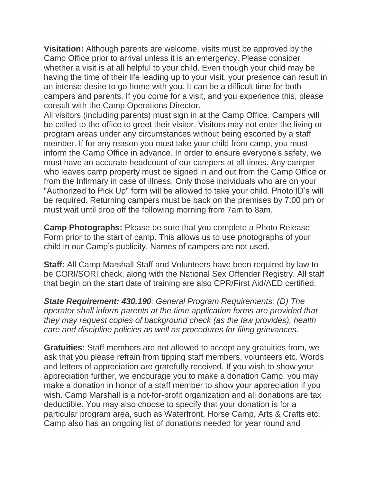**Visitation:** Although parents are welcome, visits must be approved by the Camp Office prior to arrival unless it is an emergency. Please consider whether a visit is at all helpful to your child. Even though your child may be having the time of their life leading up to your visit, your presence can result in an intense desire to go home with you. It can be a difficult time for both campers and parents. If you come for a visit, and you experience this, please consult with the Camp Operations Director.

All visitors (including parents) must sign in at the Camp Office. Campers will be called to the office to greet their visitor. Visitors may not enter the living or program areas under any circumstances without being escorted by a staff member. If for any reason you must take your child from camp, you must inform the Camp Office in advance. In order to ensure everyone's safety, we must have an accurate headcount of our campers at all times. Any camper who leaves camp property must be signed in and out from the Camp Office or from the Infirmary in case of illness. Only those individuals who are on your "Authorized to Pick Up" form will be allowed to take your child. Photo ID's will be required. Returning campers must be back on the premises by 7:00 pm or must wait until drop off the following morning from 7am to 8am.

**Camp Photographs:** Please be sure that you complete a Photo Release Form prior to the start of camp. This allows us to use photographs of your child in our Camp's publicity. Names of campers are not used.

**Staff:** All Camp Marshall Staff and Volunteers have been required by law to be CORI/SORI check, along with the National Sex Offender Registry. All staff that begin on the start date of training are also CPR/First Aid/AED certified.

*State Requirement: 430.190: General Program Requirements: (D) The operator shall inform parents at the time application forms are provided that they may request copies of background check (as the law provides), health care and discipline policies as well as procedures for filing grievances.*

**Gratuities:** Staff members are not allowed to accept any gratuities from, we ask that you please refrain from tipping staff members, volunteers etc. Words and letters of appreciation are gratefully received. If you wish to show your appreciation further, we encourage you to make a donation Camp, you may make a donation in honor of a staff member to show your appreciation if you wish. Camp Marshall is a not-for-profit organization and all donations are tax deductible. You may also choose to specify that your donation is for a particular program area, such as Waterfront, Horse Camp, Arts & Crafts etc. Camp also has an ongoing list of donations needed for year round and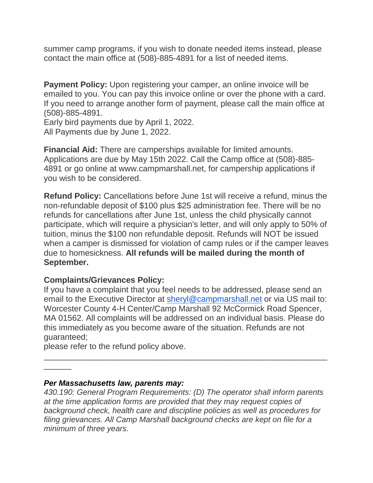summer camp programs, if you wish to donate needed items instead, please contact the main office at (508)-885-4891 for a list of needed items.

**Payment Policy:** Upon registering your camper, an online invoice will be emailed to you. You can pay this invoice online or over the phone with a card. If you need to arrange another form of payment, please call the main office at (508)-885-4891.

Early bird payments due by April 1, 2022. All Payments due by June 1, 2022.

**Financial Aid:** There are camperships available for limited amounts. Applications are due by May 15th 2022. Call the Camp office at (508)-885- 4891 or go online at www.campmarshall.net, for campership applications if you wish to be considered.

**Refund Policy:** Cancellations before June 1st will receive a refund, minus the non-refundable deposit of \$100 plus \$25 administration fee. There will be no refunds for cancellations after June 1st, unless the child physically cannot participate, which will require a physician's letter, and will only apply to 50% of tuition, minus the \$100 non refundable deposit. Refunds will NOT be issued when a camper is dismissed for violation of camp rules or if the camper leaves due to homesickness. **All refunds will be mailed during the month of September.**

#### **Complaints/Grievances Policy:**

If you have a complaint that you feel needs to be addressed, please send an email to the Executive Director at [sheryl@campmarshall.net](mailto:sheryl@campmarshall.net) or via US mail to: Worcester County 4-H Center/Camp Marshall 92 McCormick Road Spencer, MA 01562. All complaints will be addressed on an individual basis. Please do this immediately as you become aware of the situation. Refunds are not guaranteed;

\_\_\_\_\_\_\_\_\_\_\_\_\_\_\_\_\_\_\_\_\_\_\_\_\_\_\_\_\_\_\_\_\_\_\_\_\_\_\_\_\_\_\_\_\_\_\_\_\_\_\_\_\_\_\_\_\_\_\_\_\_\_

please refer to the refund policy above.

#### *Per Massachusetts law, parents may:*

\_\_\_\_\_\_

*430.190: General Program Requirements: (D) The operator shall inform parents at the time application forms are provided that they may request copies of background check, health care and discipline policies as well as procedures for filing grievances. All Camp Marshall background checks are kept on file for a minimum of three years.*